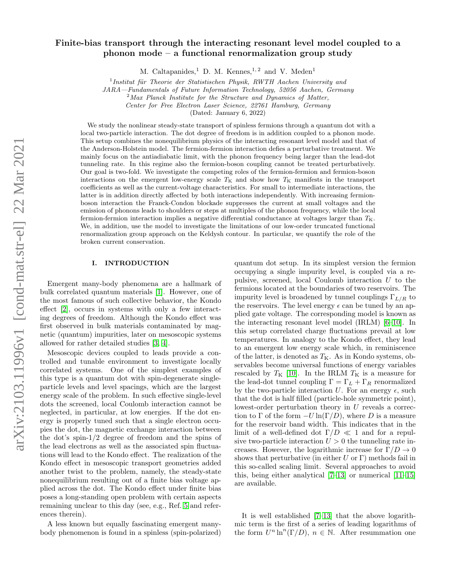# Finite-bias transport through the interacting resonant level model coupled to a phonon mode – a functional renormalization group study

M. Caltapanides,<sup>1</sup> D. M. Kennes,<sup>1,2</sup> and V. Meden<sup>1</sup>

 $1$ Institut für Theorie der Statistischen Physik, RWTH Aachen University and

JARA—Fundamentals of Future Information Technology, 52056 Aachen, Germany

 $2$ Max Planck Institute for the Structure and Dynamics of Matter,

Center for Free Electron Laser Science, 22761 Hamburg, Germany

(Dated: January 6, 2022)

We study the nonlinear steady-state transport of spinless fermions through a quantum dot with a local two-particle interaction. The dot degree of freedom is in addition coupled to a phonon mode. This setup combines the nonequilibrium physics of the interacting resonant level model and that of the Anderson-Holstein model. The fermion-fermion interaction defies a perturbative treatment. We mainly focus on the antiadiabatic limit, with the phonon frequency being larger than the lead-dot tunneling rate. In this regime also the fermion-boson coupling cannot be treated perturbatively. Our goal is two-fold. We investigate the competing roles of the fermion-fermion and fermion-boson interactions on the emergent low-energy scale  $T<sub>K</sub>$  and show how  $T<sub>K</sub>$  manifests in the transport coefficients as well as the current-voltage characteristics. For small to intermediate interactions, the latter is in addition directly affected by both interactions independently. With increasing fermionboson interaction the Franck-Condon blockade suppresses the current at small voltages and the emission of phonons leads to shoulders or steps at multiples of the phonon frequency, while the local fermion-fermion interaction implies a negative differential conductance at voltages larger than  $T_{\rm K}$ . We, in addition, use the model to investigate the limitations of our low-order truncated functional renormalization group approach on the Keldysh contour. In particular, we quantify the role of the broken current conservation.

# <span id="page-0-0"></span>I. INTRODUCTION

Emergent many-body phenomena are a hallmark of bulk correlated quantum materials [\[1\]](#page-11-0). However, one of the most famous of such collective behavior, the Kondo effect [\[2\]](#page-11-1), occurs in systems with only a few interacting degrees of freedom. Although the Kondo effect was first observed in bulk materials contaminated by magnetic (quantum) impurities, later on mesoscopic systems allowed for rather detailed studies [\[3,](#page-11-2) [4\]](#page-11-3).

Mesoscopic devices coupled to leads provide a controlled and tunable environment to investigate locally correlated systems. One of the simplest examples of this type is a quantum dot with spin-degenerate singleparticle levels and level spacings, which are the largest energy scale of the problem. In such effective single-level dots the screened, local Coulomb interaction cannot be neglected, in particular, at low energies. If the dot energy is properly tuned such that a single electron occupies the dot, the magnetic exchange interaction between the dot's spin-1/2 degree of freedom and the spins of the lead electrons as well as the associated spin fluctuations will lead to the Kondo effect. The realization of the Kondo effect in mesoscopic transport geometries added another twist to the problem, namely, the steady-state nonequilibrium resulting out of a finite bias voltage applied across the dot. The Kondo effect under finite bias poses a long-standing open problem with certain aspects remaining unclear to this day (see, e.g., Ref. [5](#page-11-4) and references therein).

A less known but equally fascinating emergent manybody phenomenon is found in a spinless (spin-polarized)

quantum dot setup. In its simplest version the fermion occupying a single impurity level, is coupled via a repulsive, screened, local Coulomb interaction U to the fermions located at the boundaries of two reservoirs. The impurity level is broadened by tunnel couplings  $\Gamma_{L/R}$  to the reservoirs. The level energy  $\epsilon$  can be tuned by an applied gate voltage. The corresponding model is known as the interacting resonant level model (IRLM) [\[6–](#page-11-5)[10\]](#page-11-6). In this setup correlated charge fluctuations prevail at low temperatures. In analogy to the Kondo effect, they lead to an emergent low energy scale which, in reminiscence of the latter, is denoted as  $T_{\rm K}$ . As in Kondo systems, observables become universal functions of energy variables rescaled by  $T_{\rm K}$  [\[10\]](#page-11-6). In the IRLM  $T_{\rm K}$  is a measure for the lead-dot tunnel coupling  $\Gamma = \Gamma_L + \Gamma_R$  renormalized by the two-particle interaction U. For an energy  $\epsilon$ , such that the dot is half filled (particle-hole symmetric point), lowest-order perturbation theory in  $U$  reveals a correction to  $\Gamma$  of the form  $-U \ln(\Gamma/D)$ , where D is a measure for the reservoir band width. This indicates that in the limit of a well-defined dot  $\Gamma/D \ll 1$  and for a repulsive two-particle interaction  $U > 0$  the tunneling rate increases. However, the logarithmic increase for  $\Gamma/D \to 0$ shows that perturbative (in either U or  $\Gamma$ ) methods fail in this so-called scaling limit. Several approaches to avoid this, being either analytical [\[7–](#page-11-7)[13\]](#page-11-8) or numerical [\[11](#page-11-9)[–15\]](#page-11-10) are available.

It is well established [\[7–](#page-11-7)[13\]](#page-11-8) that the above logarithmic term is the first of a series of leading logarithms of the form  $U^n \ln^n(\Gamma/D)$ ,  $n \in \mathbb{N}$ . After resummation one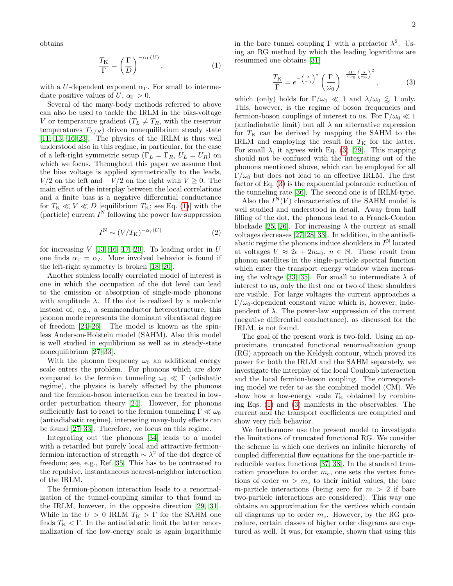obtains

$$
\frac{T_{\mathcal{K}}}{\Gamma} = \left(\frac{\Gamma}{D}\right)^{-\alpha_{\Gamma}(U)},\tag{1}
$$

with a U-dependent exponent  $\alpha_{\Gamma}$ . For small to intermediate positive values of U,  $\alpha_{\Gamma} > 0$ .

Several of the many-body methods referred to above can also be used to tackle the IRLM in the bias-voltage V or temperature gradient  $(T_L \neq T_R)$ , with the reservoir temperatures  ${\cal T}_{L/R})$  driven nonequilibrium steady state [\[11,](#page-11-9) [13,](#page-11-8) [16](#page-11-11)[–23\]](#page-11-12). The physics of the IRLM is thus well understood also in this regime, in particular, for the case of a left-right symmetric setup ( $\Gamma_L = \Gamma_R$ ,  $U_L = U_R$ ) on which we focus. Throughout this paper we assume that the bias voltage is applied symmetrically to the leads,  $V/2$  on the left and  $-V/2$  on the right with  $V > 0$ . The main effect of the interplay between the local correlations and a finite bias is a negative differential conductance for  $T_K \ll V \ll D$  [equilibrium  $T_K$ ; see Eq. [\(1\)](#page-1-0)] with the (particle) current  $I^N$  following the power law suppression

<span id="page-1-2"></span>
$$
I^{\mathcal{N}} \sim (V/T_{\mathcal{K}})^{-\alpha_{I}(U)} \tag{2}
$$

for increasing  $V$  [\[13,](#page-11-8) [16,](#page-11-11) [17,](#page-11-13) [20\]](#page-11-14). To leading order in  $U$ one finds  $\alpha_{\Gamma} = \alpha_{I}$ . More involved behavior is found if the left-right symmetry is broken [\[18,](#page-11-15) [20\]](#page-11-14).

Another spinless locally correlated model of interest is one in which the occupation of the dot level can lead to the emission or absorption of single-mode phonons with amplitude  $\lambda$ . If the dot is realized by a molecule instead of, e.g., a seminconductor heterostructure, this phonon mode represents the dominant vibrational degree of freedom [\[24–](#page-11-16)[26\]](#page-12-0). The model is known as the spinless Anderson-Holstein model (SAHM). Also this model is well studied in equilibrium as well as in steady-state nonequilibrium [\[27–](#page-12-1)[33\]](#page-12-2).

With the phonon frequency  $\omega_0$  an additional energy scale enters the problem. For phonons which are slow compared to the fermion tunneling  $\omega_0 \ll \Gamma$  (adiabatic regime), the physics is barely affected by the phonons and the fermion-boson interaction can be treated in loworder perturbation theory [\[24\]](#page-11-16). However, for phonons sufficiently fast to react to the fermion tunneling  $\Gamma \ll \omega_0$ (antiadiabatic regime), interesting many-body effects can be found [\[27](#page-12-1)[–33\]](#page-12-2). Therefore, we focus on this regime.

Integrating out the phonons [\[34\]](#page-12-3) leads to a model with a retarded but purely local and attractive fermionfermion interaction of strength ∼ λ <sup>2</sup> of the dot degree of freedom; see, e.g., Ref. [35.](#page-12-4) This has to be contrasted to the repulsive, instantaneous nearest-neighbor interaction of the IRLM.

The fermion-phonon interaction leads to a renormalization of the tunnel-coupling similar to that found in the IRLM, however, in the opposite direction [\[29,](#page-12-5) [31\]](#page-12-6). While in the  $U$   $>$   $0$  IRLM  $T_{\rm K}$   $>$   $\Gamma$  for the SAHM one finds  $T<sub>K</sub> < \Gamma$ . In the antiadiabatic limit the latter renormalization of the low-energy scale is again logarithmic

<span id="page-1-0"></span>in the bare tunnel coupling  $\Gamma$  with a prefactor  $\lambda^2$ . Using an RG method by which the leading logarithms are resummed one obtains [\[31\]](#page-12-6)

<span id="page-1-1"></span>
$$
\frac{T_{\rm K}}{\Gamma} = e^{-\left(\frac{\lambda}{\omega_0}\right)^2} \left(\frac{\Gamma}{\omega_0}\right)^{-\frac{4\Gamma}{\pi\omega_0}\left(\frac{\lambda}{\omega_0}\right)^2},\tag{3}
$$

which (only) holds for  $\Gamma/\omega_0 \ll 1$  and  $\lambda/\omega_0 \lessapprox 1$  only. This, however, is the regime of boson frequencies and fermion-boson couplings of interest to us. For  $\Gamma/\omega_0 \ll 1$ (antiadiabatic limit) but all  $\lambda$  an alternative expression for  $T_K$  can be derived by mapping the SAHM to the IRLM and employing the result for  $T_K$  for the latter. For small  $\lambda$ , it agrees with Eq. [\(3\)](#page-1-1) [\[29\]](#page-12-5). This mapping should not be confused with the integrating out of the phonons mentioned above, which can be employed for all Γ/ $ω$ <sub>0</sub> but does not lead to an effective IRLM. The first factor of Eq. [\(3\)](#page-1-1) is the exponential polaronic reduction of the tunneling rate [\[36\]](#page-12-7). The second one is of IRLM-type.

Also the  $I^N(V)$  characteristics of the SAHM model is well studied and understood in detail. Away from half filling of the dot, the phonons lead to a Franck-Condon blockade [\[25,](#page-11-17) [26\]](#page-12-0). For increasing  $\lambda$  the current at small voltages decreases [\[27,](#page-12-1) [28,](#page-12-8) [33\]](#page-12-2). In addition, in the antiadiabatic regime the phonons induce shoulders in  $I^N$  located at voltages  $V \approx 2\epsilon + 2n\omega_0$ ,  $n \in \mathbb{N}$ . These result from phonon satellites in the single-particle spectral function which enter the transport energy window when increas-ing the voltage [\[33,](#page-12-2) [35\]](#page-12-4). For small to intermediate  $\lambda$  of interest to us, only the first one or two of these shoulders are visible. For large voltages the current approaches a  $\Gamma/\omega_0$ -dependent constant value which is, however, independent of  $\lambda$ . The power-law suppression of the current (negative differential conductance), as discussed for the IRLM, is not found.

The goal of the present work is two-fold. Using an approximate, truncated functional renormalization group (RG) approach on the Keldysh contour, which proved its power for both the IRLM and the SAHM separately, we investigate the interplay of the local Coulomb interaction and the local fermion-boson coupling. The corresponding model we refer to as the combined model (CM). We show how a low-energy scale  $T<sub>K</sub>$  obtained by combining Eqs. [\(1\)](#page-1-0) and [\(3\)](#page-1-1) manifests in the observables. The current and the transport coefficients are computed and show very rich behavior.

We furthermore use the present model to investigate the limitations of truncated functional RG. We consider the scheme in which one derives an infinite hierarchy of coupled differential flow equations for the one-particle irreducible vertex functions [\[37,](#page-12-9) [38\]](#page-12-10). In the standard truncation procedure to order  $m<sub>c</sub>$ , one sets the vertex functions of order  $m > m_c$  to their initial values, the bare m-particle interactions (being zero for  $m > 2$  if bare two-particle interactions are considered). This way one obtains an approximation for the vertices which contain all diagrams up to order  $m_c$ . However, by the RG procedure, certain classes of higher order diagrams are captured as well. It was, for example, shown that using this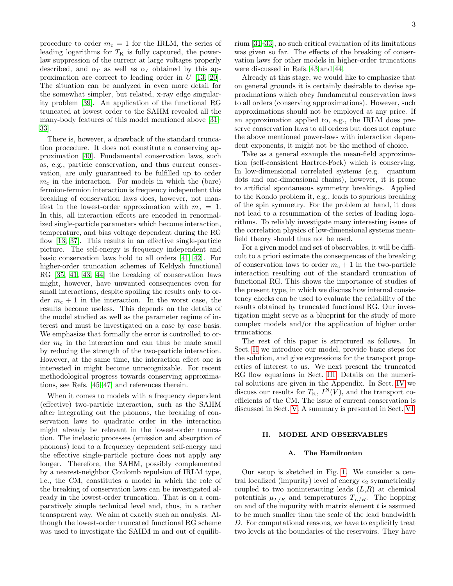procedure to order  $m_c = 1$  for the IRLM, the series of leading logarithms for  $T<sub>K</sub>$  is fully captured, the powerlaw suppression of the current at large voltages properly described, and  $\alpha_{\Gamma}$  as well as  $\alpha_{I}$  obtained by this approximation are correct to leading order in U [\[13,](#page-11-8) [20\]](#page-11-14). The situation can be analyzed in even more detail for the somewhat simpler, but related, x-ray edge singularity problem [\[39\]](#page-12-11). An application of the functional RG truncated at lowest order to the SAHM revealed all the many-body features of this model mentioned above [\[31–](#page-12-6) [33\]](#page-12-2).

There is, however, a drawback of the standard truncation procedure. It does not constitute a conserving approximation [\[40\]](#page-12-12). Fundamental conservation laws, such as, e.g., particle conservation, and thus current conservation, are only guaranteed to be fulfilled up to order  $m_c$  in the interaction. For models in which the (bare) fermion-fermion interaction is frequency independent this breaking of conservation laws does, however, not manifest in the lowest-order approximation with  $m_c = 1$ . In this, all interaction effects are encoded in renormalized single-particle parameters which become interaction, temperature, and bias voltage dependent during the RG flow [\[13,](#page-11-8) [37\]](#page-12-9). This results in an effective single-particle picture. The self-energy is frequency independent and basic conservation laws hold to all orders [\[41,](#page-12-13) [42\]](#page-12-14). For higher-order truncation schemes of Keldysh functional RG [\[35,](#page-12-4) [41,](#page-12-13) [43,](#page-12-15) [44\]](#page-12-16) the breaking of conservation laws might, however, have unwanted consequences even for small interactions, despite spoiling the results only to order  $m_c + 1$  in the interaction. In the worst case, the results become useless. This depends on the details of the model studied as well as the parameter regime of interest and must be investigated on a case by case basis. We emphasize that formally the error is controlled to order  $m_c$  in the interaction and can thus be made small by reducing the strength of the two-particle interaction. However, at the same time, the interaction effect one is interested in might become unrecognizable. For recent methodological progress towards conserving approximations, see Refs. [\[45–](#page-12-17)[47\]](#page-12-18) and references therein.

When it comes to models with a frequency dependent (effective) two-particle interaction, such as the SAHM after integrating out the phonons, the breaking of conservation laws to quadratic order in the interaction might already be relevant in the lowest-order truncation. The inelastic processes (emission and absorption of phonons) lead to a frequency dependent self-energy and the effective single-particle picture does not apply any longer. Therefore, the SAHM, possibly complemented by a nearest-neighbor Coulomb repulsion of IRLM type, i.e., the CM, constitutes a model in which the role of the breaking of conservation laws can be investigated already in the lowest-order truncation. That is on a comparatively simple technical level and, thus, in a rather transparent way. We aim at exactly such an analysis. Although the lowest-order truncated functional RG scheme was used to investigate the SAHM in and out of equilibrium [\[31–](#page-12-6)[33\]](#page-12-2), no such critical evaluation of its limitations was given so far. The effects of the breaking of conservation laws for other models in higher-order truncations were discussed in Refs. [43](#page-12-15) and [44.](#page-12-16)

Already at this stage, we would like to emphasize that on general grounds it is certainly desirable to devise approximations which obey fundamental conservation laws to all orders (conserving approximations). However, such approximations should not be employed at any price. If an approximation applied to, e.g., the IRLM does preserve conservation laws to all orders but does not capture the above mentioned power-laws with interaction dependent exponents, it might not be the method of choice.

Take as a general example the mean-field approximation (self-consistent Hartree-Fock) which is conserving. In low-dimensional correlated systems (e.g. quantum dots and one-dimensional chains), however, it is prone to artificial spontaneous symmetry breakings. Applied to the Kondo problem it, e.g., leads to spurious breaking of the spin symmetry. For the problem at hand, it does not lead to a resummation of the series of leading logarithms. To reliably investigate many interesting issues of the correlation physics of low-dimensional systems meanfield theory should thus not be used.

For a given model and set of observables, it will be difficult to a priori estimate the consequences of the breaking of conservation laws to order  $m_c + 1$  in the two-particle interaction resulting out of the standard truncation of functional RG. This shows the importance of studies of the present type, in which we discuss how internal consistency checks can be used to evaluate the reliability of the results obtained by truncated functional RG. Our investigation might serve as a blueprint for the study of more complex models and/or the application of higher order truncations.

The rest of this paper is structured as follows. In Sect. [II](#page-2-0) we introduce our model, provide basic steps for the solution, and give expressions for the transport properties of interest to us. We next present the truncated RG flow equations in Sect. [III.](#page-4-0) Details on the numerical solutions are given in the Appendix. In Sect. [IV](#page-6-0) we discuss our results for  $T_{\rm K}$ ,  $I^{\rm N}(V)$ , and the transport coefficients of the CM. The issue of current conservation is discussed in Sect. [V.](#page-8-0) A summary is presented in Sect. [VI.](#page-10-0)

# <span id="page-2-0"></span>II. MODEL AND OBSERVABLES

#### A. The Hamiltonian

Our setup is sketched in Fig. [1.](#page-3-0) We consider a central localized (impurity) level of energy  $\epsilon_2$  symmetrically coupled to two noninteracting leads  $(L,R)$  at chemical potentials  $\mu_{L/R}$  and temperatures  $T_{L/R}$ . The hopping on and of the impurity with matrix element  $t$  is assumed to be much smaller than the scale of the lead bandwidth D. For computational reasons, we have to explicitly treat two levels at the boundaries of the reservoirs. They have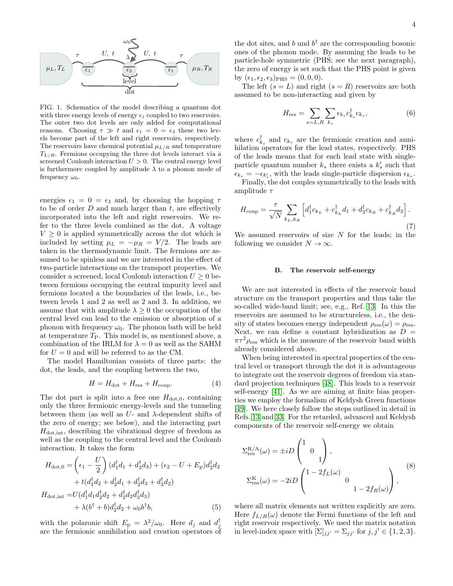

<span id="page-3-0"></span>FIG. 1. Schematics of the model describing a quantum dot with three energy levels of energy  $\epsilon_i$  coupled to two reservoirs. The outer two dot levels are only added for computational reasons. Choosing  $\tau \gg t$  and  $\epsilon_1 = 0 = \epsilon_3$  these two levels become part of the left and right reservoirs, respectively. The reservoirs have chemical potential  $\mu_{L/R}$  and temperature  $T_{L/R}$ . Fermions occupying the three dot levels interact via a screened Coulomb interaction  $U > 0$ . The central energy level is furthermore coupled by amplitude  $\lambda$  to a phonon mode of frequency  $\omega_0$ .

energies  $\epsilon_1 = 0 = \epsilon_3$  and, by choosing the hopping  $\tau$ to be of order  $D$  and much larger than  $t$ , are effectively incorporated into the left and right reservoirs. We refer to the three levels combined as the dot. A voltage  $V \geq 0$  is applied symmetrically across the dot which is included by setting  $\mu_L = -\mu_R = V/2$ . The leads are taken in the thermodynamic limit. The fermions are assumed to be spinless and we are interested in the effect of two-particle interactions on the transport properties. We consider a screened, local Coulomb interaction  $U \geq 0$  between fermions occupying the central impurity level and fermions located a the boundaries of the leads, i.e., between levels 1 and 2 as well as 2 and 3. In addition, we assume that with amplitude  $\lambda \geq 0$  the occupation of the central level can lead to the emission or absorption of a phonon with frequency  $\omega_0$ . The phonon bath will be held at temperature  $T_{P}$ . This model is, as mentioned above, a combination of the IRLM for  $\lambda = 0$  as well as the SAHM for  $U = 0$  and will be referred to as the CM.

The model Hamiltonian consists of three parts: the dot, the leads, and the coupling between the two,

<span id="page-3-1"></span>
$$
H = H_{\text{dot}} + H_{\text{res}} + H_{\text{coup}}.\tag{4}
$$

The dot part is split into a free one  $H_{dot,0}$ , containing only the three fermionic energy-levels and the tunneling between them (as well as  $U$ - and  $\lambda$ -dependent shifts of the zero of energy; see below), and the interacting part  $H_{dot, int}$ , describing the vibrational degree of freedom as well as the coupling to the central level and the Coulomb interaction. It takes the form

$$
H_{\text{dot},0} = \left(\epsilon_1 - \frac{U}{2}\right) (d_1^{\dagger} d_1 + d_3^{\dagger} d_3) + (\epsilon_2 - U + E_{\text{p}}) d_2^{\dagger} d_2 + t (d_1^{\dagger} d_2 + d_2^{\dagger} d_1 + d_2^{\dagger} d_3 + d_3^{\dagger} d_2) H_{\text{dot,int}} = U (d_1^{\dagger} d_1 d_2^{\dagger} d_2 + d_2^{\dagger} d_2 d_3^{\dagger} d_3) + \lambda (b^{\dagger} + b) d_2^{\dagger} d_2 + \omega_0 b^{\dagger} b, \tag{5}
$$

with the polaronic shift  $E_{\rm p} = \lambda^2/\omega_0$ . Here  $d_j$  and  $d_j^{\dagger}$ are the fermionic annihilation and creation operators of

the dot sites, and b und  $b^{\dagger}$  are the corresponding bosonic ones of the phonon mode. By assuming the leads to be particle-hole symmetric (PHS; see the next paragraph), the zero of energy is set such that the PHS point is given by  $(\epsilon_1, \epsilon_2, \epsilon_3)$ <sub>PHS</sub> =  $(0, 0, 0)$ .

The left  $(s = L)$  and right  $(s = R)$  reservoirs are both assumed to be non-interacting and given by

$$
H_{\rm res} = \sum_{s=L,R} \sum_{k_s} \epsilon_{k_s} c_{k_s}^{\dagger} c_{k_s},\tag{6}
$$

where  $c_{k_s}^{\dagger}$  and  $c_{k_s}$  are the fermionic creation and annihilation operators for the lead states, respectively. PHS of the leads means that for each lead state with singleparticle quantum number  $k_s$  there exists a  $k'_s$  such that  $\epsilon_{k_s} = -\epsilon_{k'_s}$ , with the leads single-particle dispersion  $\epsilon_{k_s}$ .

Finally, the dot couples symmetrically to the leads with amplitude  $\tau$ 

$$
H_{\text{coup}} = \frac{\tau}{\sqrt{N}} \sum_{k_L, k_R} \left[ d_1^\dagger c_{k_L} + c_{k_L}^\dagger d_1 + d_3^\dagger c_{k_R} + c_{k_R}^\dagger d_3 \right].
$$
\n(7)

We assumed reservoirs of size  $N$  for the leads; in the following we consider  $N \to \infty$ .

### B. The reservoir self-energy

We are not interested in effects of the reservoir band structure on the transport properties and thus take the so-called wide-band limit; see, e.g., Ref. [13.](#page-11-8) In this the reservoirs are assumed to be structureless, i.e., the density of states becomes energy independent  $\rho_{res}(\omega) = \rho_{res}$ . Next, we can define a constant hybridization as  $D =$  $\pi\tau^2 \rho_{\text{res}}$  which is the measure of the reservoir band width already considered above.

When being interested in spectral properties of the central level or transport through the dot it is advantageous to integrate out the reservoir degrees of freedom via standard projection techniques [\[48\]](#page-12-19). This leads to a reservoir self-energy [\[41\]](#page-12-13). As we are aiming at finite bias properties we employ the formalism of Keldysh Green functions [\[49\]](#page-12-20). We here closely follow the steps outlined in detail in Refs. [13](#page-11-8) and [33.](#page-12-2) For the retarded, advanced and Keldysh components of the reservoir self-energy we obtain

$$
\Sigma_{\text{res}}^{\text{R/A}}(\omega) = \pm i D \begin{pmatrix} 1 & 0 \\ 0 & 1 \end{pmatrix},
$$
  

$$
\Sigma_{\text{res}}^{\text{K}}(\omega) = -2i D \begin{pmatrix} 1 - 2f_L(\omega) & 0 \\ 0 & 1 - 2f_R(\omega) \end{pmatrix},
$$
 (8)

where all matrix elements not written explicitly are zero. Here  $f_{L/R}(\omega)$  denote the Fermi functions of the left and right reservoir respectively. We used the matrix notation in level-index space with  $[\Sigma]_{jj'} = \Sigma_{jj'}$  for  $j, j' \in \{1, 2, 3\}.$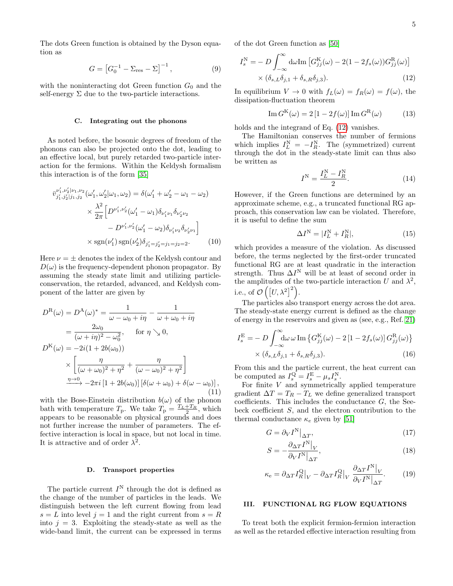The dots Green function is obtained by the Dyson equation as

$$
G = [G_0^{-1} - \Sigma_{\rm res} - \Sigma]^{-1},
$$
\n(9)

with the noninteracting dot Green function  $G_0$  and the self-energy  $\Sigma$  due to the two-particle interactions.

# C. Integrating out the phonons

As noted before, the bosonic degrees of freedom of the phonons can also be projected onto the dot, leading to an effective local, but purely retarded two-particle interaction for the fermions. Within the Keldysh formalism this interaction is of the form [\[35\]](#page-12-4)

$$
\bar{v}_{j'_1, j'_2|j_1, j_2}^{V'_1, V'_2|V_1, V_2}(\omega'_1, \omega'_2|\omega_1, \omega_2) = \delta(\omega'_1 + \omega'_2 - \omega_1 - \omega_2)
$$

$$
\times \frac{\lambda^2}{2\pi} \Big[ D^{\nu'_1, \nu'_2}(\omega'_1 - \omega_1) \delta_{\nu'_1 \nu_1} \delta_{\nu'_2 \nu_2} - D^{\nu'_1, \nu'_2}(\omega'_1 - \omega_2) \delta_{\nu'_1 \nu_2} \delta_{\nu'_2 \nu_1} \Big]
$$

$$
\times \text{sgn}(\nu'_1) \text{sgn}(\nu'_2) \delta_{j'_1 = j'_2 = j_1 = j_2 = 2}.
$$
(10)

Here  $\nu = \pm$  denotes the index of the Keldysh contour and  $D(\omega)$  is the frequency-dependent phonon propagator. By assuming the steady state limit and utilizing particleconservation, the retarded, advanced, and Keldysh component of the latter are given by

$$
D^{\mathcal{R}}(\omega) = D^{\mathcal{A}}(\omega)^{*} = \frac{1}{\omega - \omega_{0} + i\eta} - \frac{1}{\omega + \omega_{0} + i\eta}
$$
  
\n
$$
= \frac{2\omega_{0}}{(\omega + i\eta)^{2} - \omega_{0}^{2}}, \quad \text{for } \eta \searrow 0,
$$
  
\n
$$
D^{\mathcal{K}}(\omega) = -2i(1 + 2b(\omega_{0}))
$$
  
\n
$$
\times \left[ \frac{\eta}{(\omega + \omega_{0})^{2} + \eta^{2}} + \frac{\eta}{(\omega - \omega_{0})^{2} + \eta^{2}} \right]
$$
  
\n
$$
\xrightarrow{\eta \to 0} -2\pi i [1 + 2b(\omega_{0})] \left[ \delta(\omega + \omega_{0}) + \delta(\omega - \omega_{0}) \right],
$$
\n(11)

with the Bose-Einstein distribution  $b(\omega)$  of the phonon bath with temperature  $T_p$ . We take  $T_p = \frac{T_L + T_R}{2}$ , which appears to be reasonable on physical grounds and does not further increase the number of parameters. The effective interaction is local in space, but not local in time. It is attractive and of order  $\lambda^2$ .

#### D. Transport properties

The particle current  $I^N$  through the dot is defined as the change of the number of particles in the leads. We distinguish between the left current flowing from lead  $s = L$  into level  $j = 1$  and the right current from  $s = R$ into  $j = 3$ . Exploiting the steady-state as well as the wide-band limit, the current can be expressed in terms

of the dot Green function as [\[50\]](#page-12-21)

$$
I_s^{\mathcal{N}} = - D \int_{-\infty}^{\infty} d\omega \mathrm{Im} \left[ G_{jj}^{\mathcal{K}}(\omega) - 2(1 - 2f_s(\omega)) G_{jj}^{\mathcal{R}}(\omega) \right]
$$

$$
\times (\delta_{s,L}\delta_{j,1} + \delta_{s,R}\delta_{j,3}). \tag{12}
$$

In equilibrium  $V \to 0$  with  $f_L(\omega) = f_R(\omega) = f(\omega)$ , the dissipation-fluctuation theorem

<span id="page-4-1"></span>
$$
\operatorname{Im} G^{\mathrm{K}}(\omega) = 2 \left[ 1 - 2f(\omega) \right] \operatorname{Im} G^{\mathrm{R}}(\omega) \tag{13}
$$

holds and the integrand of Eq. [\(12\)](#page-4-1) vanishes.

The Hamiltonian conserves the number of fermions which implies  $I_L^N = -I_R^N$ . The (symmetrized) current through the dot in the steady-state limit can thus also be written as

<span id="page-4-2"></span>
$$
I^{\rm N} = \frac{I_L^{\rm N} - I_R^{\rm N}}{2}.
$$
\n(14)

However, if the Green functions are determined by an approximate scheme, e.g., a truncated functional RG approach, this conservation law can be violated. Therefore, it is useful to define the sum

$$
\Delta I^{\mathcal{N}} = |I_L^{\mathcal{N}} + I_R^{\mathcal{N}}|,\tag{15}
$$

which provides a measure of the violation. As discussed before, the terms neglected by the first-order truncated functional RG are at least quadratic in the interaction strength. Thus  $\Delta I^N$  will be at least of second order in the amplitudes of the two-particle interaction U and  $\lambda^2$ , i.e., of  $\mathcal{O}\left(\left[U,\lambda^2\right]^2\right)$ .

The particles also transport energy across the dot area. The steady-state energy current is defined as the change of energy in the reservoirs and given as (see, e.g., Ref. [21\)](#page-11-18)

$$
I_s^{\mathcal{E}} = -D \int_{-\infty}^{\infty} d\omega \,\omega \operatorname{Im} \left\{ G_{jj}^{\mathcal{K}}(\omega) - 2 \left[ 1 - 2 f_s(\omega) \right] G_{jj}^{\mathcal{R}}(\omega) \right\} \times (\delta_{s,L} \delta_{j,1} + \delta_{s,R} \delta_{j,3}).
$$
\n(16)

From this and the particle current, the heat current can be computed as  $I_s^{\mathbf{Q}} = I_s^{\mathbf{E}} - \mu_s I_s^{\mathbf{N}}$ .

For finite  $V$  and symmetrically applied temperature gradient  $\Delta T = T_R - T_L$  we define generalized transport coefficients. This includes the conductance  $G$ , the Seebeck coefficient S, and the electron contribution to the thermal conductance  $\kappa_e$  given by [\[51\]](#page-12-22)

<span id="page-4-4"></span>
$$
G = \partial_V I^N \big|_{\Delta T},\tag{17}
$$

<span id="page-4-5"></span><span id="page-4-3"></span>
$$
S = -\frac{\partial_{\Delta T} I^{\rm N}|_V}{\partial_V I^{\rm N}|_{\Delta T}},\tag{18}
$$

$$
\kappa_{\rm e} = \partial_{\Delta T} I_R^{\rm Q} \big|_{V} - \partial_{\Delta T} I_R^{\rm Q} \big|_{V} \frac{\partial_{\Delta T} I^{\rm N} \big|_{V}}{\partial_{V} I^{\rm N} \big|_{\Delta T}}.\tag{19}
$$

# <span id="page-4-0"></span>III. FUNCTIONAL RG FLOW EQUATIONS

To treat both the explicit fermion-fermion interaction as well as the retarded effective interaction resulting from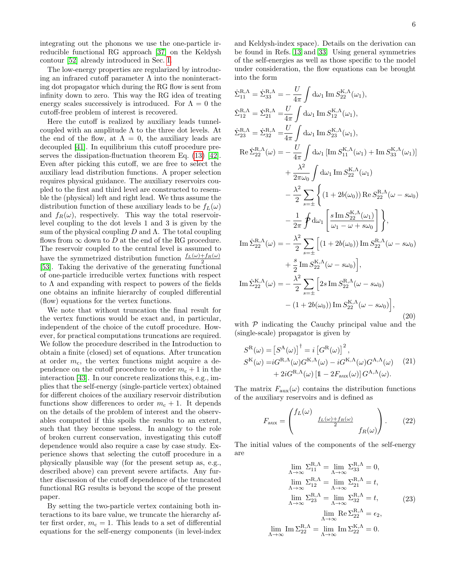integrating out the phonons we use the one-particle irreducible functional RG approach [\[37\]](#page-12-9) on the Keldysh contour [\[52\]](#page-12-23) already introduced in Sec. [I.](#page-0-0)

The low-energy properties are regularized by introducing an infrared cutoff parameter  $\Lambda$  into the noninteracting dot propagator which during the RG flow is sent from infinity down to zero. This way the RG idea of treating energy scales successively is introduced. For  $\Lambda = 0$  the cutoff-free problem of interest is recovered.

Here the cutoff is realized by auxiliary leads tunnelcoupled with an amplitude  $\Lambda$  to the three dot levels. At the end of the flow, at  $\Lambda = 0$ , the auxiliary leads are decoupled [\[41\]](#page-12-13). In equilibrium this cutoff procedure preserves the dissipation-fluctuation theorem Eq. [\(13\)](#page-4-2) [\[42\]](#page-12-14). Even after picking this cutoff, we are free to select the auxiliary lead distribution functions. A proper selection requires physical guidance. The auxiliary reservoirs coupled to the first and third level are constructed to resemble the (physical) left and right lead. We thus assume the distribution function of these auxiliary leads to be  $f_L(\omega)$ and  $f_R(\omega)$ , respectively. This way the total reservoirlevel coupling to the dot levels 1 and 3 is given by the sum of the physical coupling  $D$  and  $\Lambda$ . The total coupling flows from  $\infty$  down to D at the end of the RG procedure. The reservoir coupled to the central level is assumed to have the symmetrized distribution function  $\frac{f_L(\omega)+f_R(\omega)}{2}$ [\[53\]](#page-12-24). Taking the derivative of the generating functional of one-particle irreducible vertex functions with respect to  $\Lambda$  and expanding with respect to powers of the fields one obtains an infinite hierarchy of coupled differential (flow) equations for the vertex functions.

We note that without truncation the final result for the vertex functions would be exact and, in particular, independent of the choice of the cutoff procedure. However, for practical computations truncations are required. We follow the procedure described in the Introduction to obtain a finite (closed) set of equations. After truncation at order  $m_c$ , the vertex functions might acquire a dependence on the cutoff procedure to order  $m_c + 1$  in the interaction [\[43\]](#page-12-15). In our concrete realizations this, e.g., implies that the self-energy (single-particle vertex) obtained for different choices of the auxiliary reservoir distribution functions show differences to order  $m_c + 1$ . It depends on the details of the problem of interest and the observables computed if this spoils the results to an extent, such that they become useless. In analogy to the role of broken current conservation, investigating this cutoff dependence would also require a case by case study. Experience shows that selecting the cutoff procedure in a physically plausible way (for the present setup as, e.g., described above) can prevent severe artifacts. Any further discussion of the cutoff dependence of the truncated functional RG results is beyond the scope of the present paper.

By setting the two-particle vertex containing both interactions to its bare value, we truncate the hierarchy after first order,  $m_c = 1$ . This leads to a set of differential equations for the self-energy components (in level-index and Keldysh-index space). Details on the derivation can be found in Refs. [13](#page-11-8) and [33.](#page-12-2) Using general symmetries of the self-energies as well as those specific to the model under consideration, the flow equations can be brought into the form

<span id="page-5-0"></span>
$$
\Sigma_{11}^{R,\Lambda} = \Sigma_{33}^{R,\Lambda} = -\frac{U}{4\pi} \int d\omega_1 \text{ Im } S_{22}^{K,\Lambda}(\omega_1),
$$
  
\n
$$
\Sigma_{12}^{R,\Lambda} = \Sigma_{21}^{R,\Lambda} = \frac{U}{4\pi} \int d\omega_1 \text{ Im } S_{12}^{K,\Lambda}(\omega_1),
$$
  
\n
$$
\Sigma_{23}^{R,\Lambda} = \Sigma_{32}^{R,\Lambda} = \frac{U}{4\pi} \int d\omega_1 \text{ Im } S_{23}^{K,\Lambda}(\omega_1),
$$
  
\n
$$
\text{Re } \Sigma_{22}^{R,\Lambda}(\omega) = -\frac{U}{4\pi} \int d\omega_1 \left[ \text{Im } S_{11}^{K,\Lambda}(\omega_1) + \text{Im } S_{33}^{K,\Lambda}(\omega_1) \right]
$$
  
\n
$$
+ \frac{\lambda^2}{2\pi\omega_0} \int d\omega_1 \text{ Im } S_{22}^{K,\Lambda}(\omega_1)
$$
  
\n
$$
- \frac{\lambda^2}{2} \sum_{s=\pm} \left\{ (1 + 2b(\omega_0)) \text{ Re } S_{22}^{R,\Lambda}(\omega - s\omega_0) - \frac{1}{2\pi} \oint d\omega_1 \left[ \frac{s \text{ Im } S_{22}^{K,\Lambda}(\omega_1)}{\omega_1 - \omega + s\omega_0} \right] \right\},
$$
  
\n
$$
\text{Im } \Sigma_{22}^{R,\Lambda}(\omega) = -\frac{\lambda^2}{2} \sum_{s=\pm} \left[ (1 + 2b(\omega_0)) \text{ Im } S_{22}^{R,\Lambda}(\omega - s\omega_0) + \frac{s}{2} \text{ Im } S_{22}^{K,\Lambda}(\omega - s\omega_0) \right],
$$
  
\n
$$
\text{Im } \Sigma_{22}^{K,\Lambda}(\omega) = -\frac{\lambda^2}{2} \sum_{s=\pm} \left[ 2s \text{ Im } S_{22}^{R,\Lambda}(\omega - s\omega_0) \right],
$$
  
\n
$$
- (1 + 2b(\omega_0)) \text{ Im } S_{22}^{K,\Lambda}(\omega - s\omega_0) \right],
$$
  
\n(20)

with  $P$  indicating the Cauchy principal value and the (single-scale) propagator is given by

$$
S^{\mathcal{R}}(\omega) = [S^{\mathcal{A}}(\omega)]^{\dagger} = i [G^{\mathcal{R}}(\omega)]^{2},
$$
  
\n
$$
S^{\mathcal{K}}(\omega) = i G^{\mathcal{R},\mathcal{\Lambda}}(\omega) G^{\mathcal{K},\mathcal{\Lambda}}(\omega) - i G^{\mathcal{K},\mathcal{\Lambda}}(\omega) G^{\mathcal{A},\mathcal{\Lambda}}(\omega) \qquad (21)
$$
  
\n
$$
+ 2i G^{\mathcal{R},\mathcal{\Lambda}}(\omega) [1 - 2F_{\text{aux}}(\omega)] G^{\mathcal{A},\mathcal{\Lambda}}(\omega).
$$

The matrix  $F_{\text{aux}}(\omega)$  contains the distribution functions of the auxiliary reservoirs and is defined as

$$
F_{\text{aux}} = \begin{pmatrix} f_L(\omega) & & \\ & \frac{f_L(\omega) + f_R(\omega)}{2} & \\ & & f_R(\omega) \end{pmatrix} . \tag{22}
$$

The initial values of the components of the self-energy are

$$
\lim_{\Lambda \to \infty} \Sigma_{11}^{R,\Lambda} = \lim_{\Lambda \to \infty} \Sigma_{33}^{R,\Lambda} = 0,
$$
  
\n
$$
\lim_{\Lambda \to \infty} \Sigma_{12}^{R,\Lambda} = \lim_{\Lambda \to \infty} \Sigma_{21}^{R,\Lambda} = t,
$$
  
\n
$$
\lim_{\Lambda \to \infty} \Sigma_{23}^{R,\Lambda} = \lim_{\Lambda \to \infty} \Sigma_{32}^{R,\Lambda} = t,
$$
  
\n
$$
\lim_{\Lambda \to \infty} \text{Re } \Sigma_{22}^{R,\Lambda} = \epsilon_2,
$$
  
\n
$$
\lim_{\Lambda \to \infty} \text{Im } \Sigma_{22}^{R,\Lambda} = 0.
$$
  
\n(23)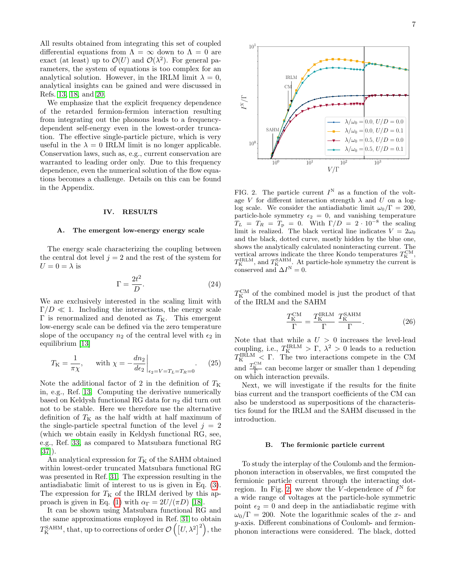All results obtained from integrating this set of coupled differential equations from  $\Lambda = \infty$  down to  $\Lambda = 0$  are exact (at least) up to  $\mathcal{O}(U)$  and  $\mathcal{O}(\lambda^2)$ . For general parameters, the system of equations is too complex for an analytical solution. However, in the IRLM limit  $\lambda = 0$ , analytical insights can be gained and were discussed in Refs. [13,](#page-11-8) [18,](#page-11-15) and [20.](#page-11-14)

We emphasize that the explicit frequency dependence of the retarded fermion-fermion interaction resulting from integrating out the phonons leads to a frequencydependent self-energy even in the lowest-order truncation. The effective single-particle picture, which is very useful in the  $\lambda = 0$  IRLM limit is no longer applicable. Conservation laws, such as, e.g., current conservation are warranted to leading order only. Due to this frequency dependence, even the numerical solution of the flow equations becomes a challenge. Details on this can be found in the Appendix.

### <span id="page-6-0"></span>IV. RESULTS

## A. The emergent low-energy energy scale

The energy scale characterizing the coupling between the central dot level  $j = 2$  and the rest of the system for  $U = 0 = \lambda$  is

$$
\Gamma = \frac{2t^2}{D}.\tag{24}
$$

We are exclusively interested in the scaling limit with  $\Gamma/D \ll 1$ . Including the interactions, the energy scale Γ is renormalized and denoted as  $T<sub>K</sub>$ . This emergent low-energy scale can be defined via the zero temperature slope of the occupancy  $n_2$  of the central level with  $\epsilon_2$  in equilibrium [\[13\]](#page-11-8)

$$
T_{\rm K} = \frac{1}{\pi \chi}, \quad \text{with } \chi = -\frac{dn_2}{d\epsilon_2}\bigg|_{\epsilon_2 = V = T_L = T_R = 0}.
$$
 (25)

Note the additional factor of 2 in the definition of  $T<sub>K</sub>$ in, e.g., Ref. [13.](#page-11-8) Computing the derivative numerically based on Keldysh functional RG data for  $n_2$  did turn out not to be stable. Here we therefore use the alternative definition of  $T<sub>K</sub>$  as the half width at half maximum of the single-particle spectral function of the level  $j = 2$ (which we obtain easily in Keldysh functional RG, see, e.g., Ref. [33,](#page-12-2) as compared to Matsubara functional RG [\[37\]](#page-12-9)).

An analytical expression for  $T<sub>K</sub>$  of the SAHM obtained within lowest-order truncated Matsubara functional RG was presented in Ref. [31.](#page-12-6) The expression resulting in the antiadiabatic limit of interest to us is given in Eq. [\(3\)](#page-1-1). The expression for  $T<sub>K</sub>$  of the IRLM derived by this ap-proach is given in Eq. [\(1\)](#page-1-0) with  $\alpha_{\Gamma} = 2U/(\pi D)$  [\[18\]](#page-11-15).

It can be shown using Matsubara functional RG and the same approximations employed in Ref. [31](#page-12-6) to obtain  $T_{\rm K}^{\rm SAHM}$ , that, up to corrections of order  $\mathcal{O}\left(\left[U,\lambda^2\right]^2\right)$ , the



<span id="page-6-1"></span>FIG. 2. The particle current  $I^N$  as a function of the voltage V for different interaction strength  $\lambda$  and U on a loglog scale. We consider the antiadiabatic limit  $\omega_0/\Gamma = 200$ , particle-hole symmetry  $\epsilon_2 = 0$ , and vanishing temperature  $T_L = T_R = T_p = 0$ . With  $\Gamma/D = 2 \cdot 10^{-8}$  the scaling limit is realized. The black vertical line indicates  $V = 2\omega_0$ and the black, dotted curve, mostly hidden by the blue one, shows the analytically calculated noninteracting current. The vertical arrows indicate the three Kondo temperatures  $T_{\text{K}}^{\text{CM}},$  $T_{\rm K}^{\rm IRLM}$ , and  $T_{\rm K}^{\rm SAHM}$ . At particle-hole symmetry the current is conserved and  $\Delta I^{\text{N}} = 0$ .

 $T_{\rm K}^{\rm CM}$  of the combined model is just the product of that of the IRLM and the SAHM

$$
\frac{T_{\rm K}^{\rm CM}}{\Gamma} = \frac{T_{\rm K}^{\rm IRLM}}{\Gamma} \frac{T_{\rm K}^{\rm SAHM}}{\Gamma}.
$$
 (26)

Note that that while a  $U > 0$  increases the level-lead coupling, i.e.,  $T_{\text{K}}^{\text{IRLM}} > \Gamma$ ,  $\lambda^2 > 0$  leads to a reduction  $T_{\rm K}^{\rm IRLM} < \Gamma$ . The two interactions compete in the CM and  $\frac{T_{\text{K}}^{\text{CM}}}{\Gamma}$  can become larger or smaller than 1 depending on which interaction prevails.

Next, we will investigate if the results for the finite bias current and the transport coefficients of the CM can also be understood as superpositions of the characteristics found for the IRLM and the SAHM discussed in the introduction.

## B. The fermionic particle current

To study the interplay of the Coulomb and the fermionphonon interaction in observables, we first computed the fermionic particle current through the interacting dot-region. In Fig. [2,](#page-6-1) we show the V-dependence of  $I^N$  for a wide range of voltages at the particle-hole symmetric point  $\epsilon_2 = 0$  and deep in the antiadiabatic regime with  $\omega_0/\Gamma = 200$ . Note the logarithmic scales of the x- and y-axis. Different combinations of Coulomb- and fermionphonon interactions were considered. The black, dotted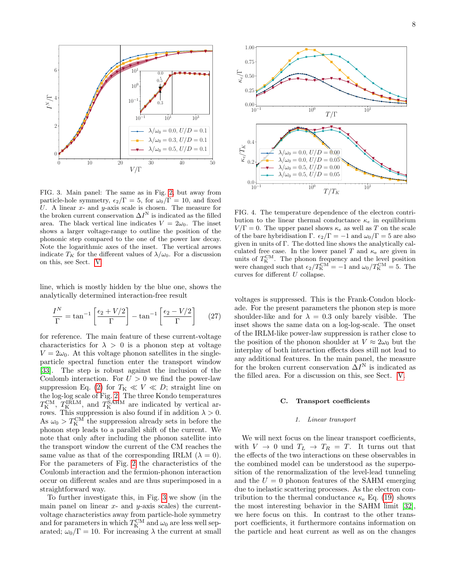

<span id="page-7-0"></span>FIG. 3. Main panel: The same as in Fig. [2,](#page-6-1) but away from particle-hole symmetry,  $\epsilon_2/\Gamma = 5$ , for  $\omega_0/\Gamma = 10$ , and fixed U. A linear  $x$ - and  $y$ -axis scale is chosen. The measure for the broken current conservation  $\Delta I^N$  is indicated as the filled area. The black vertical line indicates  $V = 2\omega_0$ . The inset shows a larger voltage-range to outline the position of the phononic step compared to the one of the power law decay. Note the logarithmic axes of the inset. The vertical arrows indicate  $T_K$  for the different values of  $\lambda/\omega_0$ . For a discussion on this, see Sect. [V.](#page-8-0)

line, which is mostly hidden by the blue one, shows the analytically determined interaction-free result

$$
\frac{I^N}{\Gamma} = \tan^{-1} \left[ \frac{\epsilon_2 + V/2}{\Gamma} \right] - \tan^{-1} \left[ \frac{\epsilon_2 - V/2}{\Gamma} \right] \tag{27}
$$

for reference. The main feature of these current-voltage characteristics for  $\lambda > 0$  is a phonon step at voltage  $V = 2\omega_0$ . At this voltage phonon satellites in the singleparticle spectral function enter the transport window [\[33\]](#page-12-2). The step is robust against the inclusion of the Coulomb interaction. For  $U > 0$  we find the power-law suppression Eq. [\(2\)](#page-1-2) for  $T_K \ll V \ll D$ ; straight line on the log-log scale of Fig. [2.](#page-6-1) The three Kondo temperatures  $T_{\rm K}^{\rm CM}$ ,  $T_{\rm K}^{\rm IRLM}$ , and  $T_{\rm K}^{\rm SAHM}$  are indicated by vertical arrows. This suppression is also found if in addition  $\lambda > 0$ . As  $\omega_0 > T_{\rm K}^{\rm CM}$  the suppression already sets in before the phonon step leads to a parallel shift of the current. We note that only after including the phonon satellite into the transport window the current of the CM reaches the same value as that of the corresponding IRLM  $(\lambda = 0)$ . For the parameters of Fig. [2](#page-6-1) the characteristics of the Coulomb interaction and the fermion-phonon interaction occur on different scales and are thus superimposed in a straightforward way.

To further investigate this, in Fig. [3](#page-7-0) we show (in the main panel on linear  $x$ - and  $y$ -axis scales) the currentvoltage characteristics away from particle-hole symmetry and for parameters in which  $T_{\rm K}^{\rm CM}$  and  $\omega_0$  are less well separated;  $\omega_0/\Gamma = 10$ . For increasing  $\lambda$  the current at small



<span id="page-7-1"></span>FIG. 4. The temperature dependence of the electron contribution to the linear thermal conductance  $\kappa_e$  in equilibrium  $V/\Gamma = 0$ . The upper panel shows  $\kappa_e$  as well as T on the scale of the bare hybridisation Γ.  $\epsilon_2/\Gamma = -1$  and  $\omega_0/\Gamma = 5$  are also given in units of Γ. The dotted line shows the analytically calculated free case. In the lower panel T and  $\kappa_e$  are given in units of  $T_{\text{K}}^{\text{CM}}$ . The phonon frequency and the level position were changed such that  $\epsilon_2/T_K^{\text{CM}} = -1$  and  $\omega_0/T_K^{\text{CM}} = 5$ . The curves for different U collapse.

voltages is suppressed. This is the Frank-Condon blockade. For the present parameters the phonon step is more shoulder-like and for  $\lambda = 0.3$  only barely visible. The inset shows the same data on a log-log-scale. The onset of the IRLM-like power-law suppression is rather close to the position of the phonon shoulder at  $V \approx 2\omega_0$  but the interplay of both interaction effects does still not lead to any additional features. In the main panel, the measure for the broken current conservation  $\Delta I^{\text{N}}$  is indicated as the filled area. For a discussion on this, see Sect. [V.](#page-8-0)

### C. Transport coefficients

### 1. Linear transport

We will next focus on the linear transport coefficients, with  $V \rightarrow 0$  und  $T_L \rightarrow T_R = T$ . It turns out that the effects of the two interactions on these observables in the combined model can be understood as the superposition of the renormalization of the level-lead tunneling and the  $U = 0$  phonon features of the SAHM emerging due to inelastic scattering processes. As the electron contribution to the thermal conductance  $\kappa_e$  Eq. [\(19\)](#page-4-3) shows the most interesting behavior in the SAHM limit [\[32\]](#page-12-25), we here focus on this. In contrast to the other transport coefficients, it furthermore contains information on the particle and heat current as well as on the changes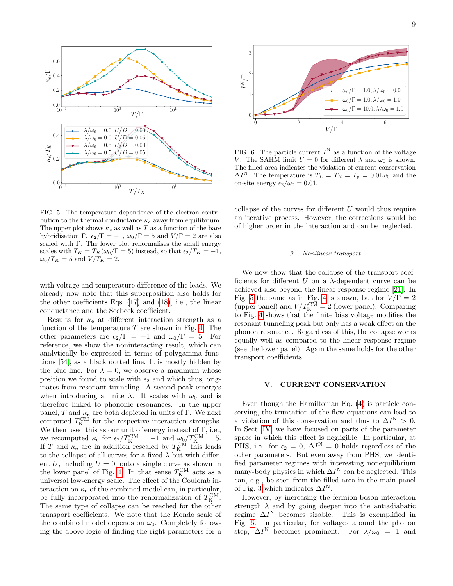

<span id="page-8-1"></span>FIG. 5. The temperature dependence of the electron contribution to the thermal conductance  $\kappa_e$  away from equilibrium. The upper plot shows  $\kappa_e$  as well as T as a function of the bare hybridisation Γ.  $\epsilon_2/\Gamma = -1$ ,  $\omega_0/\Gamma = 5$  and  $V/\Gamma = 2$  are also scaled with Γ. The lower plot renormalises the small energy scales with  $T_K = T_K(\omega_0/\Gamma = 5)$  instead, so that  $\epsilon_2/T_K = -1$ ,  $\omega_0/T_K = 5$  and  $V/T_K = 2$ .

with voltage and temperature difference of the leads. We already now note that this superposition also holds for the other coefficients Eqs. [\(17\)](#page-4-4) and [\(18\)](#page-4-5), i.e., the linear conductance and the Seebeck coefficient.

Results for  $\kappa_e$  at different interaction strength as a function of the temperature  $T$  are shown in Fig. [4.](#page-7-1) The other parameters are  $\epsilon_2/\Gamma = -1$  and  $\omega_0/\Gamma = 5$ . For reference, we show the noninteracting result, which can analytically be expressed in terms of polygamma functions [\[54\]](#page-12-26), as a black dotted line. It is mostly hidden by the blue line. For  $\lambda = 0$ , we observe a maximum whose position we found to scale with  $\epsilon_2$  and which thus, originates from resonant tunneling. A second peak emerges when introducing a finite  $\lambda$ . It scales with  $\omega_0$  and is therefore linked to phononic resonances. In the upper panel, T and  $\kappa_e$  are both depicted in units of Γ. We next computed  $T<sub>K</sub><sup>CM</sup>$  for the respective interaction strengths. We then used this as our unit of energy instead of  $\Gamma$ , i.e., we recomputed  $\kappa_e$  for  $\epsilon_2/T_K^{\text{CM}} = -1$  and  $\omega_0/T_K^{\text{CM}} = 5$ . If T and  $\kappa_e$  are in addition rescaled by  $T_K^{\text{CM}}$  this leads to the collapse of all curves for a fixed  $\lambda$  but with different U, including  $U = 0$ , onto a single curve as shown in the lower panel of Fig. [4.](#page-7-1) In that sense  $T_{\rm K}^{\rm CM}$  acts as a universal low-energy scale. The effect of the Coulomb interaction on  $\kappa_e$  of the combined model can, in particular, be fully incorporated into the renormalization of  $T_{\rm K}^{\rm CM}$ . The same type of collapse can be reached for the other transport coefficients. We note that the Kondo scale of the combined model depends on  $\omega_0$ . Completely following the above logic of finding the right parameters for a



<span id="page-8-2"></span>FIG. 6. The particle current  $I^N$  as a function of the voltage V. The SAHM limit  $U = 0$  for different  $\lambda$  and  $\omega_0$  is shown. The filled area indicates the violation of current conservation  $\Delta I^{\text{N}}$ . The temperature is  $T_L = T_R = T_p = 0.01\omega_0$  and the on-site energy  $\epsilon_2/\omega_0 = 0.01$ .

collapse of the curves for different  $U$  would thus require an iterative process. However, the corrections would be of higher order in the interaction and can be neglected.

### 2. Nonlinear transport

We now show that the collapse of the transport coefficients for different  $U$  on a  $\lambda$ -dependent curve can be achieved also beyond the linear response regime [\[21\]](#page-11-18). In Fig. [5](#page-8-1) the same as in Fig. [4](#page-7-1) is shown, but for  $V/\Gamma = 2$ (upper panel) and  $V/T_K^{\text{CM}} = 2$  (lower panel). Comparing to Fig. [4](#page-7-1) shows that the finite bias voltage modifies the resonant tunneling peak but only has a weak effect on the phonon resonance. Regardless of this, the collapse works equally well as compared to the linear response regime (see the lower panel). Again the same holds for the other transport coefficients.

#### <span id="page-8-0"></span>V. CURRENT CONSERVATION

Even though the Hamiltonian Eq. [\(4\)](#page-3-1) is particle conserving, the truncation of the flow equations can lead to a violation of this conservation and thus to  $\Delta I^{\rm N} > 0$ . In Sect. [IV,](#page-6-0) we have focused on parts of the parameter space in which this effect is negligible. In particular, at PHS, i.e. for  $\epsilon_2 = 0$ ,  $\Delta I^N = 0$  holds regardless of the other parameters. But even away from PHS, we identified parameter regimes with interesting nonequilibrium many-body physics in which  $\Delta I^{\text{N}}$  can be neglected. This can, e.g., be seen from the filled area in the main panel of Fig. [3](#page-7-0) which indicates  $\Delta I^N$ .

However, by increasing the fermion-boson interaction strength  $\lambda$  and by going deeper into the antiadiabatic regime  $\Delta I^{\rm N}$  becomes sizable. This is exemplified in Fig. [6.](#page-8-2) In particular, for voltages around the phonon step,  $\Delta I^N$  becomes prominent. For  $\lambda/\omega_0 = 1$  and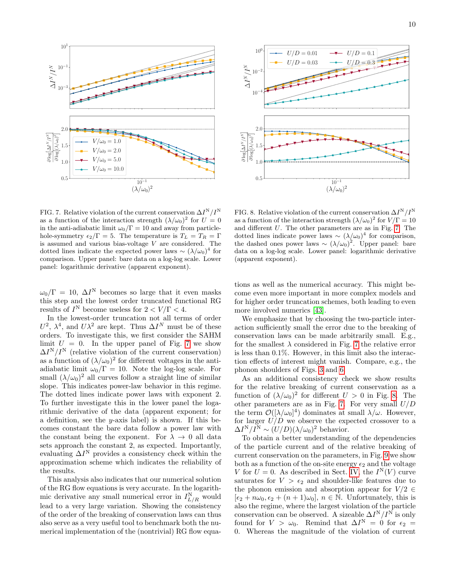



<span id="page-9-0"></span>FIG. 7. Relative violation of the current conservation  $\Delta I^N/I^N$ as a function of the interaction strength  $(\lambda/\omega_0)^2$  for  $U=0$ in the anti-adiabatic limit  $\omega_0/\Gamma = 10$  and away from particlehole-symmetry  $\epsilon_2/\Gamma = 5$ . The temperature is  $T_L = T_R = \Gamma$ is assumed and various bias-voltage V are considered. The dotted lines indicate the expected power laws  $\sim (\lambda/\omega_0)^4$  for comparison. Upper panel: bare data on a log-log scale. Lower panel: logarithmic derivative (apparent exponent).

 $\omega_0/\Gamma = 10, \Delta I^N$  becomes so large that it even masks this step and the lowest order truncated functional RG results of  $I^N$  become useless for  $2 < V/\Gamma < 4$ .

In the lowest-order truncation not all terms of order  $U^2$ ,  $\lambda^4$ , and  $U\lambda^2$  are kept. Thus  $\Delta I^N$  must be of these orders. To investigate this, we first consider the SAHM limit  $U = 0$ . In the upper panel of Fig. [7](#page-9-0) we show  $\Delta I^N/I^N$  (relative violation of the current conservation) as a function of  $(\lambda/\omega_0)^2$  for different voltages in the antiadiabatic limit  $\omega_0/\Gamma = 10$ . Note the log-log scale. For small  $(\lambda/\omega_0)^2$  all curves follow a straight line of similar slope. This indicates power-law behavior in this regime. The dotted lines indicate power laws with exponent 2. To further investigate this in the lower panel the logarithmic derivative of the data (apparent exponent; for a definition, see the y-axis label) is shown. If this becomes constant the bare data follow a power law with the constant being the exponent. For  $\lambda \to 0$  all data sets approach the constant 2, as expected. Importantly, evaluating  $\Delta I^N$  provides a consistency check within the approximation scheme which indicates the reliability of the results.

This analysis also indicates that our numerical solution of the RG flow equations is very accurate. In the logarithmic derivative any small numerical error in  $I_{L/R}^N$  would lead to a very large variation. Showing the consistency of the order of the breaking of conservation laws can thus also serve as a very useful tool to benchmark both the numerical implementation of the (nontrivial) RG flow equa-

<span id="page-9-1"></span>FIG. 8. Relative violation of the current conservation  $\Delta I^N/I^N$ as a function of the interaction strength  $(\lambda/\omega_0)^2$  for  $V/\Gamma = 10$ and different U. The other parameters are as in Fig. [7.](#page-9-0) The dotted lines indicate power laws  $\sim (\lambda/\omega_0)^4$  for comparison, the dashed ones power laws  $\sim (\lambda/\omega_0)^2$ . Upper panel: bare data on a log-log scale. Lower panel: logarithmic derivative (apparent exponent).

tions as well as the numerical accuracy. This might become even more important in more complex models and for higher order truncation schemes, both leading to even more involved numerics [\[43\]](#page-12-15).

We emphasize that by choosing the two-particle interaction sufficiently small the error due to the breaking of conservation laws can be made arbitrarily small. E.g., for the smallest  $\lambda$  considered in Fig. [7](#page-9-0) the relative error is less than 0.1%. However, in this limit also the interaction effects of interest might vanish. Compare, e.g., the phonon shoulders of Figs. [3](#page-7-0) and [6.](#page-8-2)

As an additional consistency check we show results for the relative breaking of current conservation as a function of  $(\lambda/\omega_0)^2$  for different  $U > 0$  in Fig. [8.](#page-9-1) The other parameters are as in Fig. [7.](#page-9-0) For very small  $U/D$ the term  $\mathcal{O}([\lambda/\omega_0]^4)$  dominates at small  $\lambda/\omega$ . However, for larger  $U/D$  we observe the expected crossover to a  $\Delta I^N/I^N \sim (U/D)(\lambda/\omega_0)^2$  behavior.

To obtain a better understanding of the dependencies of the particle current and of the relative breaking of current conservation on the parameters, in Fig. [9](#page-10-1) we show both as a function of the on-site energy  $\epsilon_2$  and the voltage V for  $U = 0$ . As described in Sect. [IV,](#page-6-0) the  $I^{N}(V)$  curve saturates for  $V > \epsilon_2$  and shoulder-like features due to the phonon emission and absorption appear for  $V/2 \in$  $[\epsilon_2 + n\omega_0, \epsilon_2 + (n+1)\omega_0], n \in \mathbb{N}$ . Unfortunately, this is also the regime, where the largest violation of the particle conservation can be observed. A sizeable  $\Delta I^N/I^N$  is only found for  $V > \omega_0$ . Remind that  $\Delta I^N = 0$  for  $\epsilon_2 =$ 0. Whereas the magnitude of the violation of current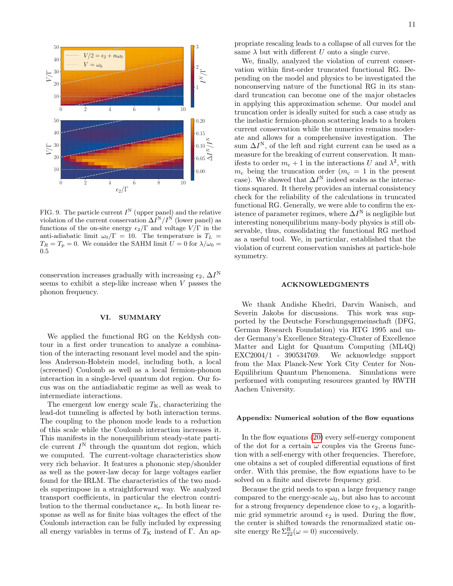

<span id="page-10-1"></span>FIG. 9. The particle current  $I^N$  (upper panel) and the relative violation of the current conservation  $\Delta I^N/I^N$  (lower panel) as functions of the on-site energy  $\epsilon_2/\Gamma$  and voltage  $V/\Gamma$  in the anti-adiabatic limit  $\omega_0/\Gamma = 10$ . The temperature is  $T_L$  =  $T_R = T_p = 0$ . We consider the SAHM limit  $U = 0$  for  $\lambda/\omega_0 =$ 0.5

conservation increases gradually with increasing  $\epsilon_2$ ,  $\Delta I^N$ seems to exhibit a step-like increase when V passes the phonon frequency.

# <span id="page-10-0"></span>VI. SUMMARY

We applied the functional RG on the Keldysh contour in a first order truncation to analyze a combination of the interacting resonant level model and the spinless Anderson-Holstein model, including both, a local (screened) Coulomb as well as a local fermion-phonon interaction in a single-level quantum dot region. Our focus was on the antiadiabatic regime as well as weak to intermediate interactions.

The emergent low energy scale  $T_{\rm K}$ , characterizing the lead-dot tunneling is affected by both interaction terms. The coupling to the phonon mode leads to a reduction of this scale while the Coulomb interaction increases it. This manifests in the nonequilibrium steady-state particle current  $I^N$  through the quantum dot region, which we computed. The current-voltage characteristics show very rich behavior. It features a phononic step/shoulder as well as the power-law decay for large voltages earlier found for the IRLM. The characteristics of the two models superimpose in a straightforward way. We analyzed transport coefficients, in particular the electron contribution to the thermal conductance  $\kappa_e$ . In both linear response as well as for finite bias voltages the effect of the Coulomb interaction can be fully included by expressing all energy variables in terms of  $T<sub>K</sub>$  instead of Γ. An appropriate rescaling leads to a collapse of all curves for the same  $\lambda$  but with different U onto a single curve.

We, finally, analyzed the violation of current conservation within first-order truncated functional RG. Depending on the model and physics to be investigated the nonconserving nature of the functional RG in its standard truncation can become one of the major obstacles in applying this approximation scheme. Our model and truncation order is ideally suited for such a case study as the inelastic fermion-phonon scattering leads to a broken current conservation while the numerics remains moderate and allows for a comprehensive investigation. The sum  $\Delta I^N$ , of the left and right current can be used as a measure for the breaking of current conservation. It manifests to order  $m_c + 1$  in the interactions U and  $\lambda^2$ , with  $m_c$  being the truncation order  $(m_c = 1$  in the present case). We showed that  $\Delta I^N$  indeed scales as the interactions squared. It thereby provides an internal consistency check for the reliability of the calculations in truncated functional RG. Generally, we were able to confirm the existence of parameter regimes, where  $\Delta I^N$  is negligible but interesting nonequilibrium many-body physics is still observable, thus, consolidating the functional RG method as a useful tool. We, in particular, established that the violation of current conservation vanishes at particle-hole symmetry.

# ACKNOWLEDGMENTS

We thank Andishe Khedri, Darvin Wanisch, and Severin Jakobs for discussions. This work was supported by the Deutsche Forschungsgemeinschaft (DFG, German Research Foundation) via RTG 1995 and under Germany's Excellence Strategy-Cluster of Excellence Matter and Light for Quantum Computing (ML4Q) EXC2004/1 - 390534769. We acknowledge support from the Max Planck-New York City Center for Non-Equilibrium Quantum Phenomena. Simulations were performed with computing resources granted by RWTH Aachen University.

# Appendix: Numerical solution of the flow equations

In the flow equations [\(20\)](#page-5-0) every self-energy component of the dot for a certain  $\omega$  couples via the Greens function with a self-energy with other frequencies. Therefore, one obtains a set of coupled differential equations of first order. With this premise, the flow equations have to be solved on a finite and discrete frequency grid.

Because the grid needs to span a large frequency range compared to the energy-scale  $\omega_0$ , but also has to account for a strong frequency dependence close to  $\epsilon_2$ , a logarithmic grid symmetric around  $\epsilon_2$  is used. During the flow, the center is shifted towards the renormalized static onsite energy  $\text{Re }\Sigma_{22}^R(\omega=0)$  successively.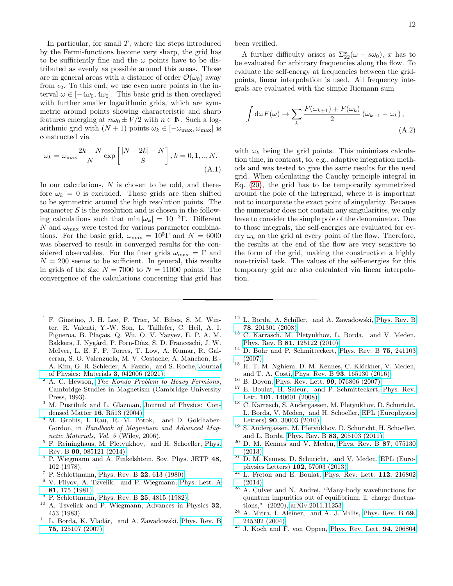In particular, for small  $T$ , where the steps introduced by the Fermi-functions become very sharp, the grid has to be sufficiently fine and the  $\omega$  points have to be distributed as evenly as possible around this areas. Those are in general areas with a distance of order  $\mathcal{O}(\omega_0)$  away from  $\epsilon_2$ . To this end, we use even more points in the interval  $\omega \in [-4\omega_0, 4\omega_0]$ . This basic grid is then overlayed with further smaller logarithmic grids, which are symmetric around points showing characteristic and sharp features emerging at  $n\omega_0 \pm V/2$  with  $n \in \mathbb{N}$ . Such a logarithmic grid with  $(N + 1)$  points  $\omega_k \in [-\omega_{\text{max}}, \omega_{\text{max}}]$  is constructed via

$$
\omega_k = \omega_{\text{max}} \frac{2k - N}{N} \exp\left[\frac{|N - 2k| - N}{S}\right], k = 0, 1, ..., N.
$$
\n(A.1)

In our calculations, N is chosen to be odd, and therefore  $\omega_k = 0$  is excluded. Those grids are then shifted to be symmetric around the high resolution points. The parameter  $S$  is the resolution and is chosen in the following calculations such that min  $|\omega_k| = 10^{-3} \Gamma$ . Different  $N$  and  $\omega_{\text{max}}$  were tested for various parameter combinations. For the basic grid,  $\omega_{\text{max}} = 10^5 \Gamma$  and  $N = 6000$ was observed to result in converged results for the considered observables. For the finer grids  $\omega_{\text{max}} = \Gamma$  and  $N = 200$  seems to be sufficient. In general, this results in grids of the size  $N = 7000$  to  $N = 11000$  points. The convergence of the calculations concerning this grid has been verified.

A further difficulty arises as  $\Sigma_{22}^x(\omega - s\omega_0)$ , x has to be evaluated for arbitrary frequencies along the flow. To evaluate the self-energy at frequencies between the gridpoints, linear interpolation is used. All frequency integrals are evaluated with the simple Riemann sum

$$
\int d\omega F(\omega) \to \sum_{k} \frac{F(\omega_{k+1}) + F(\omega_k)}{2} (\omega_{k+1} - \omega_k),
$$
\n(A.2)

with  $\omega_k$  being the grid points. This minimizes calculation time, in contrast, to, e.g., adaptive integration methods and was tested to give the same results for the used grid. When calculating the Cauchy principle integral in Eq. [\(20\)](#page-5-0), the grid has to be temporarily symmetrized around the pole of the integrand, where it is important not to incorporate the exact point of singularity. Because the numerator does not contain any singularities, we only have to consider the simple pole of the denominator. Due to those integrals, the self-energies are evaluated for every  $\omega_k$  on the grid at every point of the flow. Therefore, the results at the end of the flow are very sensitive to the form of the grid, making the construction a highly non-trivial task. The values of the self-energies for this temporary grid are also calculated via linear interpolation.

- <span id="page-11-0"></span> $<sup>1</sup>$  F. Giustino, J. H. Lee, F. Trier, M. Bibes, S. M. Win-</sup> ter, R. Valent´ı, Y.-W. Son, L. Taillefer, C. Heil, A. I. Figueroa, B. Plaçais, Q. Wu, O. V. Yazyev, E. P. A. M. Bakkers, J. Nygård, P. Forn-Díaz, S. D. Franceschi, J. W. McIver, L. E. F. F. Torres, T. Low, A. Kumar, R. Galceran, S. O. Valenzuela, M. V. Costache, A. Manchon, E.- A. Kim, G. R. Schleder, A. Fazzio, and S. Roche, [Journal](http://dx.doi.org/ 10.1088/2515-7639/abb74e) [of Physics: Materials](http://dx.doi.org/ 10.1088/2515-7639/abb74e) 3, 042006 (2021).
- <span id="page-11-1"></span> $2A$ . C. Hewson, [The Kondo Problem to Heavy Fermions](http://dx.doi.org/10.1017/CBO9780511470752), Cambridge Studies in Magnetism (Cambridge University Press, 1993).
- <span id="page-11-2"></span><sup>3</sup> M. Pustilnik and L. Glazman, [Journal of Physics: Con](http://dx.doi.org/10.1088/0953-8984/16/16/r01)[densed Matter](http://dx.doi.org/10.1088/0953-8984/16/16/r01) 16, R513 (2004).
- <span id="page-11-3"></span><sup>4</sup> M. Grobis, I. Rau, R. M. Potok, and D. Goldhaber-Gordon, in Handbook of Magnetism and Advanced Magnetic Materials, Vol. 5 (Wiley, 2006).
- <span id="page-11-4"></span><sup>5</sup> F. Reininghaus, M. Pletyukhov, and H. Schoeller, [Phys.](http://dx.doi.org/10.1103/PhysRevB.90.085121) Rev. B 90[, 085121 \(2014\).](http://dx.doi.org/10.1103/PhysRevB.90.085121)
- <span id="page-11-5"></span><sup>6</sup> P. Wiegmann and A. Finkelshtein, Sov. Phys. JETP 48, 102 (1978).
- <span id="page-11-7"></span><sup>7</sup> P. Schlottmann, [Phys. Rev. B](http://dx.doi.org/10.1103/PhysRevB.22.613) 22, 613 (1980).
- <sup>8</sup> V. Filyov, A. Tzvelik, and P. Wiegmann, [Phys. Lett. A](http://dx.doi.org/https://doi.org/10.1016/0375-9601(81)90055-4) 81[, 175 \(1981\).](http://dx.doi.org/https://doi.org/10.1016/0375-9601(81)90055-4)
- <sup>9</sup> P. Schlottmann, [Phys. Rev. B](http://dx.doi.org/10.1103/PhysRevB.25.4815) **25**, 4815 (1982).
- <span id="page-11-6"></span><sup>10</sup> A. Tsvelick and P. Wiegmann, Advances in Physics 32, 453 (1983).
- <span id="page-11-9"></span><sup>11</sup> L. Borda, K. Vladár, and A. Zawadowski, [Phys. Rev. B](http://dx.doi.org/10.1103/PhysRevB.75.125107) 75[, 125107 \(2007\).](http://dx.doi.org/10.1103/PhysRevB.75.125107)
- <sup>12</sup> L. Borda, A. Schiller, and A. Zawadowski, [Phys. Rev. B](http://dx.doi.org/10.1103/PhysRevB.78.201301) 78[, 201301 \(2008\).](http://dx.doi.org/10.1103/PhysRevB.78.201301)
- <span id="page-11-8"></span><sup>13</sup> C. Karrasch, M. Pletyukhov, L. Borda, and V. Meden, Phys. Rev. B 81[, 125122 \(2010\).](http://dx.doi.org/10.1103/physrevb.81.125122)
- <sup>14</sup> D. Bohr and P. Schmitteckert, [Phys. Rev. B](http://dx.doi.org/10.1103/PhysRevB.75.241103) 75, 241103 [\(2007\).](http://dx.doi.org/10.1103/PhysRevB.75.241103)
- <span id="page-11-10"></span><sup>15</sup> H. T. M. Nghiem, D. M. Kennes, C. Klöckner, V. Meden, and T. A. Costi, Phys. Rev. B 93[, 165130 \(2016\).](http://dx.doi.org/10.1103/PhysRevB.93.165130)
- <span id="page-11-11"></span><sup>16</sup> B. Doyon, [Phys. Rev. Lett.](http://dx.doi.org/10.1103/PhysRevLett.99.076806) 99, 076806 (2007).
- <span id="page-11-13"></span><sup>17</sup> E. Boulat, H. Saleur, and P. Schmitteckert, [Phys. Rev.](http://dx.doi.org/10.1103/PhysRevLett.101.140601) Lett. 101[, 140601 \(2008\).](http://dx.doi.org/10.1103/PhysRevLett.101.140601)
- <span id="page-11-15"></span><sup>18</sup> C. Karrasch, S. Andergassen, M. Pletyukhov, D. Schuricht, L. Borda, V. Meden, and H. Schoeller, [EPL \(Europhysics](http://dx.doi.org/ 10.1209/0295-5075/90/30003) Letters) 90[, 30003 \(2010\).](http://dx.doi.org/ 10.1209/0295-5075/90/30003)
- <sup>19</sup> S. Andergassen, M. Pletyukhov, D. Schuricht, H. Schoeller, and L. Borda, Phys. Rev. B 83[, 205103 \(2011\).](http://dx.doi.org/10.1103/PhysRevB.83.205103)
- <span id="page-11-14"></span> $20$  D. M. Kennes and V. Meden, [Phys. Rev. B](http://dx.doi.org/10.1103/PhysRevB.87.075130)  $87$ , 075130 [\(2013\).](http://dx.doi.org/10.1103/PhysRevB.87.075130)
- <span id="page-11-18"></span> $21$  D. M. Kennes, D. Schuricht, and V. Meden, [EPL \(Euro](http://dx.doi.org/10.1209/0295-5075/102/57003)[physics Letters\)](http://dx.doi.org/10.1209/0295-5075/102/57003) 102, 57003 (2013).
- $22$  L. Freton and E. Boulat, [Phys. Rev. Lett.](http://dx.doi.org/10.1103/PhysRevLett.112.216802) 112, 216802 [\(2014\).](http://dx.doi.org/10.1103/PhysRevLett.112.216802)
- <span id="page-11-12"></span> $23$  A. Culver and N. Andrei, "Many-body wavefunctions for quantum impurities out of equilibrium. ii. charge fluctuations," (2020), [arXiv:2011.11253.](http://arxiv.org/abs/2011.11253)
- <span id="page-11-16"></span>A. Mitra, I. Aleiner, and A. J. Millis, [Phys. Rev. B](http://dx.doi.org/10.1103/PhysRevB.69.245302) 69, [245302 \(2004\).](http://dx.doi.org/10.1103/PhysRevB.69.245302)
- <span id="page-11-17"></span><sup>25</sup> J. Koch and F. von Oppen, [Phys. Rev. Lett.](http://dx.doi.org/10.1103/PhysRevLett.94.206804) 94, 206804